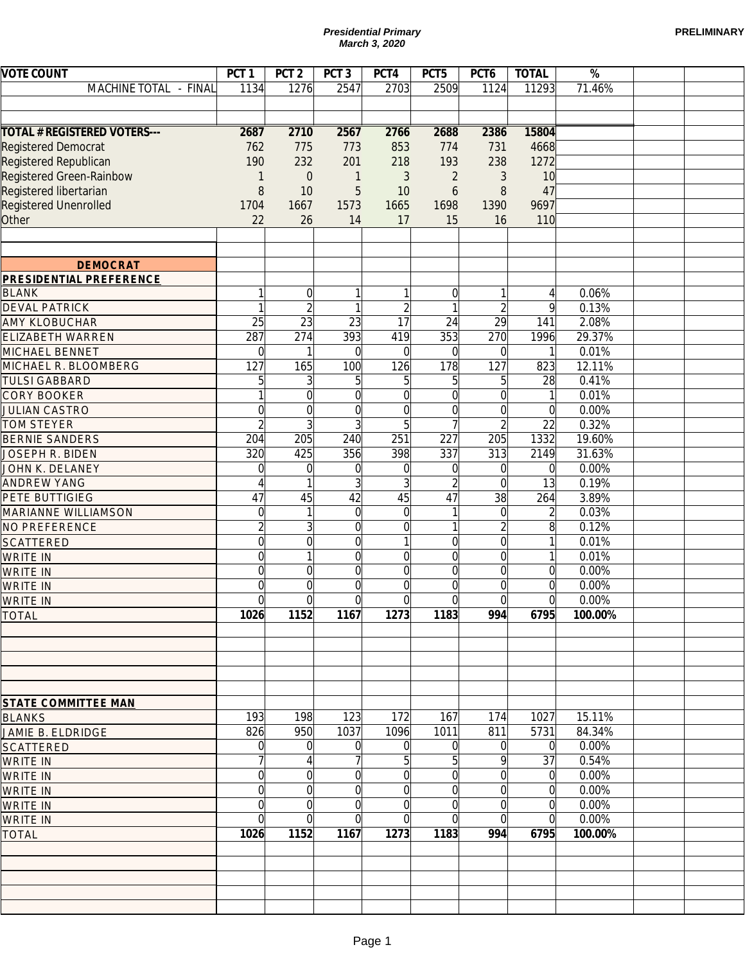|                                                    |                  |                      |                  | <b>Presidential Primary</b><br>March 3, 2020 |                |                |                |         | <b>PRELIMINARY</b> |
|----------------------------------------------------|------------------|----------------------|------------------|----------------------------------------------|----------------|----------------|----------------|---------|--------------------|
| <b>VOTE COUNT</b>                                  | PCT <sub>1</sub> | PCT <sub>2</sub>     | PCT <sub>3</sub> | PCT4                                         | PCT5           | PCT6           | <b>TOTAL</b>   | $\%$    |                    |
| MACHINE TOTAL - FINAL                              | 1134             | 1276                 | 2547             | 2703                                         | 2509           | 1124           | 11293          | 71.46%  |                    |
|                                                    |                  |                      |                  |                                              |                |                |                |         |                    |
| <b>TOTAL # REGISTERED VOTERS---</b>                | 2687             | 2710                 | 2567             | 2766                                         | 2688           | 2386           | 15804          |         |                    |
| <b>Registered Democrat</b>                         | 762              | 775                  | 773              | 853                                          | 774            | 731            | 4668           |         |                    |
| Registered Republican                              | 190              | 232                  | 201              | 218                                          | 193            | 238            | 1272           |         |                    |
| Registered Green-Rainbow<br>Registered libertarian | 1<br>8           | $\overline{0}$<br>10 | 1<br>5           | 3<br>10                                      | 2<br>6         | 3<br>8         | 10<br>47       |         |                    |
| Registered Unenrolled                              | 1704             | 1667                 | 1573             | 1665                                         | 1698           | 1390           | 9697           |         |                    |
| Other                                              | 22               | 26                   | 14               | 17                                           | 15             | 16             | 110            |         |                    |
|                                                    |                  |                      |                  |                                              |                |                |                |         |                    |
| <b>DEMOCRAT</b>                                    |                  |                      |                  |                                              |                |                |                |         |                    |
| <b>PRESIDENTIAL PREFERENCE</b>                     |                  |                      |                  |                                              |                |                |                |         |                    |
| <b>BLANK</b>                                       | 1                | $\overline{0}$       |                  |                                              | $\Omega$       | 1              | 4              | 0.06%   |                    |
| <b>DEVAL PATRICK</b>                               | 1                | $\overline{2}$       |                  | $\overline{2}$                               |                | $\overline{2}$ | 9              | 0.13%   |                    |
| <b>AMY KLOBUCHAR</b>                               | 25               | $\overline{23}$      | 23               | 17                                           | 24             | 29             | 141            | 2.08%   |                    |
| <b>ELIZABETH WARREN</b>                            | 287              | 274                  | 393              | 419                                          | 353            | 270            | 1996           | 29.37%  |                    |
| MICHAEL BENNET                                     | $\mathbf 0$      | 1                    | $\Omega$         | $\Omega$                                     | $\Omega$       | $\mathbf 0$    | $\mathbf{1}$   | 0.01%   |                    |
| MICHAEL R. BLOOMBERG                               | 127              | 165                  | 100              | 126                                          | 178            | 127            | 823            | 12.11%  |                    |
| <b>TULSI GABBARD</b>                               | 5                | $\frac{3}{2}$        | 5                | 5                                            | 5              | $\overline{5}$ | 28             | 0.41%   |                    |
| <b>CORY BOOKER</b>                                 | 1                | $\overline{0}$       | $\Omega$         | $\overline{0}$                               | $\Omega$       | $\overline{0}$ | $\mathbf{1}$   | 0.01%   |                    |
| <b>JULIAN CASTRO</b>                               | $\overline{0}$   | $\overline{0}$       | $\Omega$         | $\overline{0}$                               | $\Omega$       | $\overline{0}$ | $\overline{0}$ | 0.00%   |                    |
| <b>TOM STEYER</b>                                  | $\overline{2}$   | $\overline{3}$       | 3                | 5                                            | $\overline{7}$ | $\overline{2}$ | 22             | 0.32%   |                    |
| <b>BERNIE SANDERS</b>                              | 204              | 205                  | 240              | 251                                          | 227            | 205            | 1332           | 19.60%  |                    |
| <b>JOSEPH R. BIDEN</b>                             | 320              | 425                  | 356              | 398                                          | 337            | 313            | 2149           | 31.63%  |                    |
| JOHN K. DELANEY                                    | $\Omega$         | $\mathbf 0$          | $\Omega$         | $\Omega$                                     | $\Omega$       | $\mathbf 0$    | 0              | 0.00%   |                    |
| <b>ANDREW YANG</b>                                 | $\overline{A}$   | 1                    |                  | 3                                            | $\overline{2}$ | $\overline{0}$ | 13             | 0.19%   |                    |
| PETE BUTTIGIEG                                     | 47               | 45                   | 42               | 45                                           | 47             | 38             | 264            | 3.89%   |                    |
| <b>MARIANNE WILLIAMSON</b>                         | $\mathbf 0$      | 1                    | $\Omega$         | $\overline{0}$                               |                | $\mathbf 0$    | $\overline{2}$ | 0.03%   |                    |
| NO PREFERENCE                                      | $\overline{2}$   | $\overline{3}$       | $\Omega$         | $\overline{0}$                               | 1              | $\overline{2}$ | 8              | 0.12%   |                    |
| <b>SCATTERED</b>                                   | $\overline{0}$   | $\overline{0}$       | $\Omega$         |                                              | $\overline{0}$ | $\overline{0}$ | $\mathbf{1}$   | 0.01%   |                    |
| <b>WRITE IN</b>                                    | $\overline{0}$   |                      | 0                | $\Omega$                                     | $\overline{0}$ | $\overline{0}$ | 1              | 0.01%   |                    |
| <b>WRITE IN</b>                                    | $\Omega$         | 0l                   | $\Omega$         | $\Omega$                                     | $\Omega$       | $\Omega$       | $\Omega$       | 0.00%   |                    |
| <b>WRITE IN</b>                                    | $\overline{0}$   | $\overline{0}$       | $\overline{0}$   | $\overline{0}$                               | $\mathbf 0$    | $\overline{0}$ | $\overline{0}$ | 0.00%   |                    |
| <b>WRITE IN</b>                                    | $\Omega$         | $\Omega$             | O                | $\Omega$                                     | $\Omega$       | $\Omega$       | $\Omega$       | 0.00%   |                    |
| <b>TOTAL</b>                                       | 1026             | 1152                 | 1167             | 1273                                         | 1183           | 994            | 6795           | 100.00% |                    |
|                                                    |                  |                      |                  |                                              |                |                |                |         |                    |
|                                                    |                  |                      |                  |                                              |                |                |                |         |                    |
|                                                    |                  |                      |                  |                                              |                |                |                |         |                    |
| <b>STATE COMMITTEE MAN</b>                         |                  |                      |                  |                                              |                |                |                |         |                    |
| <b>BLANKS</b>                                      | 193              | 198                  | 123              | 172                                          | 167            | 174            | 1027           | 15.11%  |                    |
| JAMIE B. ELDRIDGE                                  | 826              | 950                  | 1037             | 1096                                         | 1011           | 811            | 5731           | 84.34%  |                    |
| <b>SCATTERED</b>                                   | $\Omega$         | 0                    | $\Omega$         | $\Omega$                                     | $\overline{0}$ | 0              | 0              | 0.00%   |                    |
| <b>WRITE IN</b>                                    |                  | 4                    |                  | 5                                            | 5              | 9              | 37             | 0.54%   |                    |
| <b>WRITE IN</b>                                    | $\overline{0}$   | $\overline{0}$       | 0                | $\overline{0}$                               | $\mathbf 0$    | $\overline{0}$ | $\Omega$       | 0.00%   |                    |
| <b>WRITE IN</b>                                    | $\overline{0}$   | $\overline{0}$       | 0                | $\overline{0}$                               | $\mathbf 0$    | $\overline{0}$ | $\Omega$       | 0.00%   |                    |
| <b>WRITE IN</b>                                    | $\mathbf 0$      | $\overline{0}$       | $\Omega$         | $\overline{0}$                               | $\mathbf 0$    | $\overline{0}$ | $\overline{0}$ | 0.00%   |                    |
| <b>WRITE IN</b>                                    | $\Omega$         | $\Omega$             | $\Omega$         | $\Omega$                                     | $\overline{0}$ | $\overline{0}$ | $\Omega$       | 0.00%   |                    |
| <b>TOTAL</b>                                       | 1026             | 1152                 | 1167             | 1273                                         | 1183           | 994            | 6795           | 100.00% |                    |
|                                                    |                  |                      |                  |                                              |                |                |                |         |                    |
|                                                    |                  |                      |                  |                                              |                |                |                |         |                    |
|                                                    |                  |                      |                  |                                              |                |                |                |         |                    |
|                                                    |                  |                      |                  |                                              |                |                |                |         |                    |
|                                                    |                  |                      |                  | Page 1                                       |                |                |                |         |                    |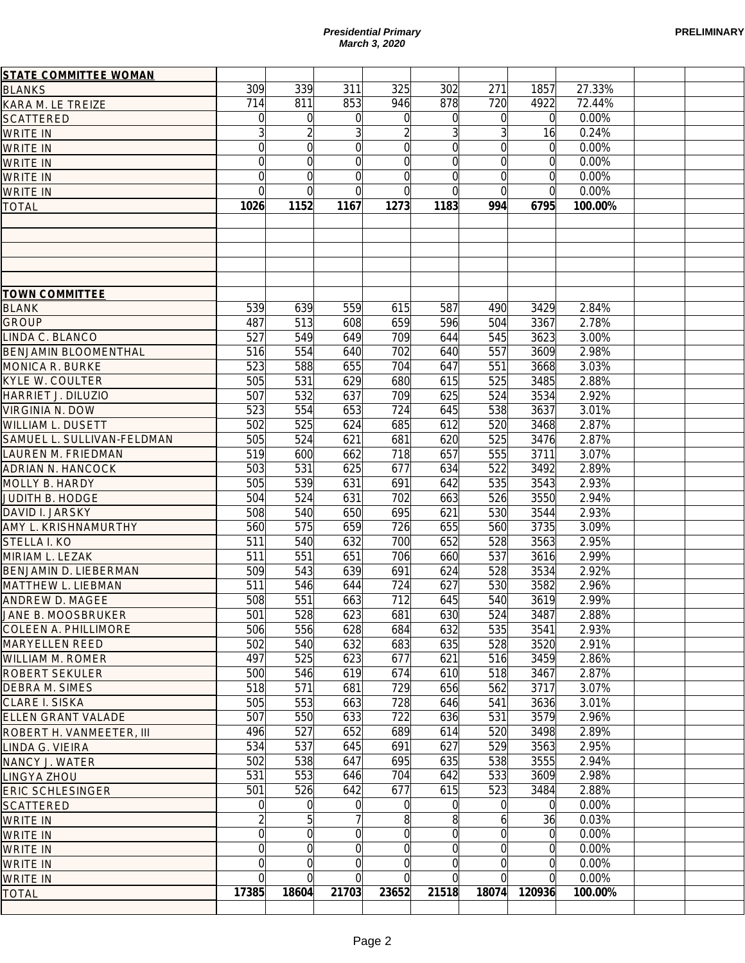| <b>PRELIMINARY</b> |
|--------------------|
|--------------------|

| 311<br>325<br>853<br>946<br>$\Omega$<br>$\Omega$<br>$\overline{3}$<br>$\overline{2}$<br>$\overline{0}$<br>$\overline{0}$<br>$\overline{0}$<br>$\overline{0}$<br>$\overline{0}$<br>$\overline{0}$<br>$\Omega$<br>$\overline{0}$<br>1167<br>1273<br>559<br>615<br>608<br>659<br>649<br>709<br>640<br>702<br>655<br>704<br>629<br>680<br>637<br>709<br>653<br>724<br>624<br>685<br>621<br>681<br>662<br>718<br>625<br>677<br>631<br>691<br>631<br>702<br>650<br>695<br>659<br>726<br>632<br>700 | 302<br>878<br>$\Omega$<br>31<br>$\Omega$<br>$\Omega$<br>$\Omega$<br>$\Omega$<br>1183<br>587<br>596<br>644<br>640<br>647<br>615<br>625<br>645<br>612<br>620<br>657<br>634<br>642<br>663<br>621<br>655<br>652 | 271<br>720<br>$\Omega$<br>3<br>$\Omega$<br>$\Omega$<br>$\Omega$<br>$\Omega$<br>994<br>490<br>504<br>545<br>557<br>551<br>525<br>524<br>538<br>520<br>525<br>555<br>522<br>535<br>526<br>530<br>560 | 1857<br>4922<br>$\Omega$<br>16<br>$\Omega$<br>$\overline{0}$<br>$\overline{0}$<br>$\overline{0}$<br>6795<br>3429<br>3367<br>3623<br>3609<br>3668<br>3485<br>3534<br>3637<br>3468<br>3476<br>3711<br>3492<br>3543<br>3550<br>3544 | 27.33%<br>72.44%<br>0.00%<br>0.24%<br>0.00%<br>0.00%<br>0.00%<br>0.00%<br>100.00%<br>2.84%<br>2.78%<br>3.00%<br>2.98%<br>3.03%<br>2.88%<br>2.92%<br>3.01%<br>2.87%<br>2.87%<br>3.07%<br>2.89%<br>2.93%<br>2.94%<br>2.93% |                |
|----------------------------------------------------------------------------------------------------------------------------------------------------------------------------------------------------------------------------------------------------------------------------------------------------------------------------------------------------------------------------------------------------------------------------------------------------------------------------------------------|-------------------------------------------------------------------------------------------------------------------------------------------------------------------------------------------------------------|----------------------------------------------------------------------------------------------------------------------------------------------------------------------------------------------------|----------------------------------------------------------------------------------------------------------------------------------------------------------------------------------------------------------------------------------|--------------------------------------------------------------------------------------------------------------------------------------------------------------------------------------------------------------------------|----------------|
|                                                                                                                                                                                                                                                                                                                                                                                                                                                                                              |                                                                                                                                                                                                             |                                                                                                                                                                                                    |                                                                                                                                                                                                                                  |                                                                                                                                                                                                                          |                |
|                                                                                                                                                                                                                                                                                                                                                                                                                                                                                              |                                                                                                                                                                                                             |                                                                                                                                                                                                    |                                                                                                                                                                                                                                  |                                                                                                                                                                                                                          |                |
|                                                                                                                                                                                                                                                                                                                                                                                                                                                                                              |                                                                                                                                                                                                             |                                                                                                                                                                                                    |                                                                                                                                                                                                                                  |                                                                                                                                                                                                                          |                |
|                                                                                                                                                                                                                                                                                                                                                                                                                                                                                              |                                                                                                                                                                                                             |                                                                                                                                                                                                    |                                                                                                                                                                                                                                  |                                                                                                                                                                                                                          |                |
|                                                                                                                                                                                                                                                                                                                                                                                                                                                                                              |                                                                                                                                                                                                             |                                                                                                                                                                                                    |                                                                                                                                                                                                                                  |                                                                                                                                                                                                                          |                |
|                                                                                                                                                                                                                                                                                                                                                                                                                                                                                              |                                                                                                                                                                                                             |                                                                                                                                                                                                    |                                                                                                                                                                                                                                  |                                                                                                                                                                                                                          |                |
|                                                                                                                                                                                                                                                                                                                                                                                                                                                                                              |                                                                                                                                                                                                             |                                                                                                                                                                                                    |                                                                                                                                                                                                                                  |                                                                                                                                                                                                                          |                |
|                                                                                                                                                                                                                                                                                                                                                                                                                                                                                              |                                                                                                                                                                                                             |                                                                                                                                                                                                    |                                                                                                                                                                                                                                  |                                                                                                                                                                                                                          |                |
|                                                                                                                                                                                                                                                                                                                                                                                                                                                                                              |                                                                                                                                                                                                             |                                                                                                                                                                                                    |                                                                                                                                                                                                                                  |                                                                                                                                                                                                                          |                |
|                                                                                                                                                                                                                                                                                                                                                                                                                                                                                              |                                                                                                                                                                                                             |                                                                                                                                                                                                    |                                                                                                                                                                                                                                  |                                                                                                                                                                                                                          |                |
|                                                                                                                                                                                                                                                                                                                                                                                                                                                                                              |                                                                                                                                                                                                             |                                                                                                                                                                                                    |                                                                                                                                                                                                                                  |                                                                                                                                                                                                                          |                |
|                                                                                                                                                                                                                                                                                                                                                                                                                                                                                              |                                                                                                                                                                                                             |                                                                                                                                                                                                    |                                                                                                                                                                                                                                  |                                                                                                                                                                                                                          |                |
|                                                                                                                                                                                                                                                                                                                                                                                                                                                                                              |                                                                                                                                                                                                             |                                                                                                                                                                                                    |                                                                                                                                                                                                                                  |                                                                                                                                                                                                                          |                |
|                                                                                                                                                                                                                                                                                                                                                                                                                                                                                              |                                                                                                                                                                                                             |                                                                                                                                                                                                    |                                                                                                                                                                                                                                  |                                                                                                                                                                                                                          |                |
|                                                                                                                                                                                                                                                                                                                                                                                                                                                                                              |                                                                                                                                                                                                             |                                                                                                                                                                                                    |                                                                                                                                                                                                                                  |                                                                                                                                                                                                                          |                |
|                                                                                                                                                                                                                                                                                                                                                                                                                                                                                              |                                                                                                                                                                                                             |                                                                                                                                                                                                    |                                                                                                                                                                                                                                  |                                                                                                                                                                                                                          |                |
|                                                                                                                                                                                                                                                                                                                                                                                                                                                                                              |                                                                                                                                                                                                             |                                                                                                                                                                                                    |                                                                                                                                                                                                                                  |                                                                                                                                                                                                                          |                |
|                                                                                                                                                                                                                                                                                                                                                                                                                                                                                              |                                                                                                                                                                                                             |                                                                                                                                                                                                    |                                                                                                                                                                                                                                  |                                                                                                                                                                                                                          |                |
|                                                                                                                                                                                                                                                                                                                                                                                                                                                                                              |                                                                                                                                                                                                             |                                                                                                                                                                                                    |                                                                                                                                                                                                                                  |                                                                                                                                                                                                                          |                |
|                                                                                                                                                                                                                                                                                                                                                                                                                                                                                              |                                                                                                                                                                                                             |                                                                                                                                                                                                    |                                                                                                                                                                                                                                  |                                                                                                                                                                                                                          |                |
|                                                                                                                                                                                                                                                                                                                                                                                                                                                                                              |                                                                                                                                                                                                             |                                                                                                                                                                                                    |                                                                                                                                                                                                                                  |                                                                                                                                                                                                                          |                |
|                                                                                                                                                                                                                                                                                                                                                                                                                                                                                              |                                                                                                                                                                                                             |                                                                                                                                                                                                    |                                                                                                                                                                                                                                  |                                                                                                                                                                                                                          |                |
|                                                                                                                                                                                                                                                                                                                                                                                                                                                                                              |                                                                                                                                                                                                             |                                                                                                                                                                                                    |                                                                                                                                                                                                                                  |                                                                                                                                                                                                                          |                |
|                                                                                                                                                                                                                                                                                                                                                                                                                                                                                              |                                                                                                                                                                                                             |                                                                                                                                                                                                    |                                                                                                                                                                                                                                  |                                                                                                                                                                                                                          |                |
|                                                                                                                                                                                                                                                                                                                                                                                                                                                                                              |                                                                                                                                                                                                             |                                                                                                                                                                                                    |                                                                                                                                                                                                                                  |                                                                                                                                                                                                                          |                |
|                                                                                                                                                                                                                                                                                                                                                                                                                                                                                              |                                                                                                                                                                                                             |                                                                                                                                                                                                    |                                                                                                                                                                                                                                  |                                                                                                                                                                                                                          |                |
|                                                                                                                                                                                                                                                                                                                                                                                                                                                                                              |                                                                                                                                                                                                             |                                                                                                                                                                                                    |                                                                                                                                                                                                                                  |                                                                                                                                                                                                                          |                |
|                                                                                                                                                                                                                                                                                                                                                                                                                                                                                              |                                                                                                                                                                                                             |                                                                                                                                                                                                    | 3735                                                                                                                                                                                                                             | 3.09%                                                                                                                                                                                                                    |                |
|                                                                                                                                                                                                                                                                                                                                                                                                                                                                                              |                                                                                                                                                                                                             | 528                                                                                                                                                                                                | 3563                                                                                                                                                                                                                             | 2.95%                                                                                                                                                                                                                    |                |
| 651<br>706                                                                                                                                                                                                                                                                                                                                                                                                                                                                                   | 660                                                                                                                                                                                                         | 537                                                                                                                                                                                                | 3616                                                                                                                                                                                                                             | 2.99%                                                                                                                                                                                                                    |                |
| 639<br>691                                                                                                                                                                                                                                                                                                                                                                                                                                                                                   | 624                                                                                                                                                                                                         | 528                                                                                                                                                                                                | 3534                                                                                                                                                                                                                             | 2.92%                                                                                                                                                                                                                    |                |
| 724<br>644                                                                                                                                                                                                                                                                                                                                                                                                                                                                                   | 627                                                                                                                                                                                                         | 530                                                                                                                                                                                                | 3582                                                                                                                                                                                                                             | 2.96%                                                                                                                                                                                                                    |                |
| 663<br>712                                                                                                                                                                                                                                                                                                                                                                                                                                                                                   | 645                                                                                                                                                                                                         | 540                                                                                                                                                                                                | 3619                                                                                                                                                                                                                             | 2.99%                                                                                                                                                                                                                    |                |
| 623<br>681                                                                                                                                                                                                                                                                                                                                                                                                                                                                                   | 630                                                                                                                                                                                                         | 524                                                                                                                                                                                                | 3487                                                                                                                                                                                                                             | 2.88%                                                                                                                                                                                                                    |                |
| 628<br>684                                                                                                                                                                                                                                                                                                                                                                                                                                                                                   | 632                                                                                                                                                                                                         | 535                                                                                                                                                                                                | 3541                                                                                                                                                                                                                             | 2.93%                                                                                                                                                                                                                    |                |
| 632<br>683                                                                                                                                                                                                                                                                                                                                                                                                                                                                                   | 635                                                                                                                                                                                                         | 528                                                                                                                                                                                                | 3520                                                                                                                                                                                                                             | 2.91%                                                                                                                                                                                                                    |                |
| 623<br>677                                                                                                                                                                                                                                                                                                                                                                                                                                                                                   | 621                                                                                                                                                                                                         | 516                                                                                                                                                                                                | 3459                                                                                                                                                                                                                             | 2.86%                                                                                                                                                                                                                    |                |
|                                                                                                                                                                                                                                                                                                                                                                                                                                                                                              |                                                                                                                                                                                                             | 518                                                                                                                                                                                                | 3467                                                                                                                                                                                                                             | 2.87%                                                                                                                                                                                                                    |                |
|                                                                                                                                                                                                                                                                                                                                                                                                                                                                                              |                                                                                                                                                                                                             | 562                                                                                                                                                                                                | 3717                                                                                                                                                                                                                             | 3.07%                                                                                                                                                                                                                    |                |
|                                                                                                                                                                                                                                                                                                                                                                                                                                                                                              |                                                                                                                                                                                                             | 541                                                                                                                                                                                                | 3636                                                                                                                                                                                                                             | 3.01%                                                                                                                                                                                                                    |                |
|                                                                                                                                                                                                                                                                                                                                                                                                                                                                                              |                                                                                                                                                                                                             | 531                                                                                                                                                                                                | 3579                                                                                                                                                                                                                             | 2.96%                                                                                                                                                                                                                    |                |
|                                                                                                                                                                                                                                                                                                                                                                                                                                                                                              |                                                                                                                                                                                                             | 520                                                                                                                                                                                                | 3498                                                                                                                                                                                                                             | 2.89%                                                                                                                                                                                                                    |                |
|                                                                                                                                                                                                                                                                                                                                                                                                                                                                                              |                                                                                                                                                                                                             | 529                                                                                                                                                                                                | 3563                                                                                                                                                                                                                             | 2.95%                                                                                                                                                                                                                    |                |
|                                                                                                                                                                                                                                                                                                                                                                                                                                                                                              |                                                                                                                                                                                                             | 538                                                                                                                                                                                                | 3555                                                                                                                                                                                                                             | 2.94%                                                                                                                                                                                                                    |                |
|                                                                                                                                                                                                                                                                                                                                                                                                                                                                                              |                                                                                                                                                                                                             |                                                                                                                                                                                                    |                                                                                                                                                                                                                                  |                                                                                                                                                                                                                          |                |
|                                                                                                                                                                                                                                                                                                                                                                                                                                                                                              |                                                                                                                                                                                                             |                                                                                                                                                                                                    | 3484                                                                                                                                                                                                                             |                                                                                                                                                                                                                          |                |
| 0                                                                                                                                                                                                                                                                                                                                                                                                                                                                                            |                                                                                                                                                                                                             | $\Omega$                                                                                                                                                                                           | $\Omega$                                                                                                                                                                                                                         | 0.00%                                                                                                                                                                                                                    |                |
| 7                                                                                                                                                                                                                                                                                                                                                                                                                                                                                            |                                                                                                                                                                                                             | 6                                                                                                                                                                                                  | 36                                                                                                                                                                                                                               | 0.03%                                                                                                                                                                                                                    |                |
| 0                                                                                                                                                                                                                                                                                                                                                                                                                                                                                            |                                                                                                                                                                                                             | $\Omega$                                                                                                                                                                                           | $\Omega$                                                                                                                                                                                                                         | 0.00%                                                                                                                                                                                                                    |                |
| 0                                                                                                                                                                                                                                                                                                                                                                                                                                                                                            |                                                                                                                                                                                                             | $\Omega$                                                                                                                                                                                           | $\overline{0}$                                                                                                                                                                                                                   | 0.00%                                                                                                                                                                                                                    |                |
| 0                                                                                                                                                                                                                                                                                                                                                                                                                                                                                            |                                                                                                                                                                                                             | $\Omega$                                                                                                                                                                                           | $\overline{0}$                                                                                                                                                                                                                   | 0.00%                                                                                                                                                                                                                    |                |
| $\Omega$                                                                                                                                                                                                                                                                                                                                                                                                                                                                                     |                                                                                                                                                                                                             | $\Omega$                                                                                                                                                                                           | $\Omega$                                                                                                                                                                                                                         | 0.00%                                                                                                                                                                                                                    |                |
|                                                                                                                                                                                                                                                                                                                                                                                                                                                                                              |                                                                                                                                                                                                             | 18074                                                                                                                                                                                              | 120936                                                                                                                                                                                                                           | 100.00%                                                                                                                                                                                                                  |                |
|                                                                                                                                                                                                                                                                                                                                                                                                                                                                                              | 619<br>681<br>663<br>633<br>652<br>645<br>647<br>646<br>642<br>21703                                                                                                                                        | 674<br>729<br>728<br>722<br>689<br>691<br>695<br>704<br>677<br>$\Omega$<br>8<br>$\overline{0}$<br>$\overline{0}$<br>$\Omega$<br>$\Omega$<br>23652                                                  | 610<br>656<br>646<br>636<br>614<br>627<br>635<br>642<br>533<br>615<br>523<br>$\Omega$<br>8 <sup>1</sup><br>$\Omega$<br>$\Omega$<br>$\Omega$<br>$\Omega$<br>21518                                                                 | 3609                                                                                                                                                                                                                     | 2.98%<br>2.88% |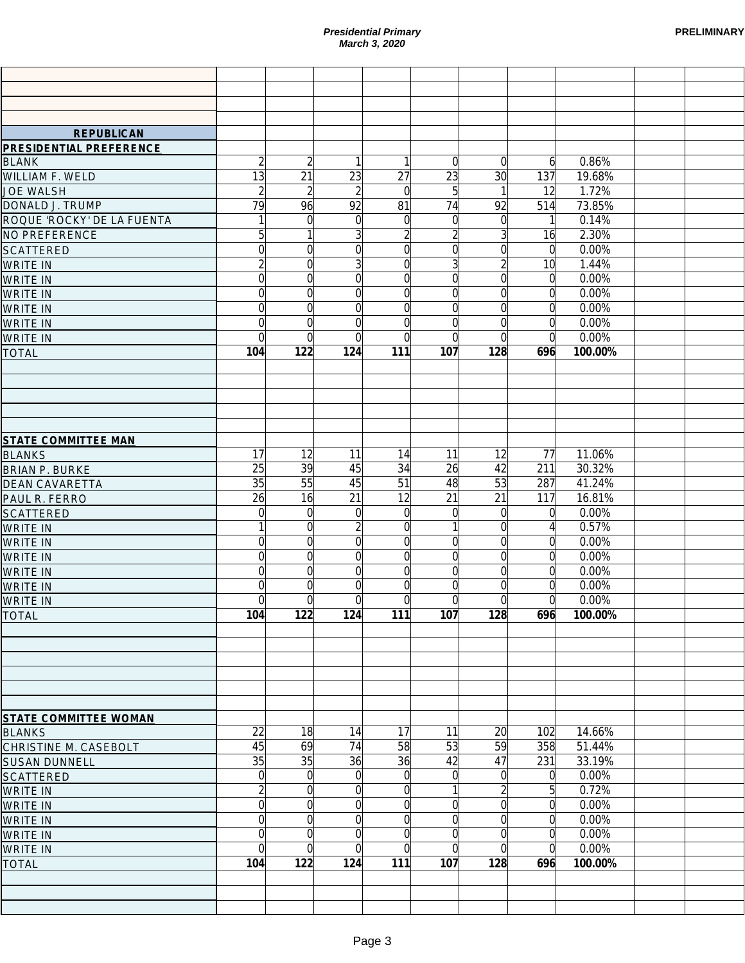| <b>PRELIMINARY</b> |  |
|--------------------|--|
|--------------------|--|

|                                    |                                  |                                  |                                  | <b>Presidential Primary</b><br>March 3, 2020 |                            |                                  |                            |                | <b>PRELIMINARY</b> |
|------------------------------------|----------------------------------|----------------------------------|----------------------------------|----------------------------------------------|----------------------------|----------------------------------|----------------------------|----------------|--------------------|
|                                    |                                  |                                  |                                  |                                              |                            |                                  |                            |                |                    |
|                                    |                                  |                                  |                                  |                                              |                            |                                  |                            |                |                    |
|                                    |                                  |                                  |                                  |                                              |                            |                                  |                            |                |                    |
| <b>REPUBLICAN</b>                  |                                  |                                  |                                  |                                              |                            |                                  |                            |                |                    |
| <b>PRESIDENTIAL PREFERENCE</b>     |                                  |                                  |                                  |                                              |                            |                                  |                            |                |                    |
| <b>BLANK</b>                       | $\overline{2}$                   | $\overline{c}$                   | 1                                |                                              | $\Omega$                   | $\overline{0}$                   | $\overline{6}$             | 0.86%          |                    |
| WILLIAM F. WELD                    | $\overline{13}$                  | $\overline{21}$                  | 23                               | 27                                           | 23                         | 30                               | 137                        | 19.68%         |                    |
| <b>JOE WALSH</b>                   | $\overline{2}$                   | $\overline{2}$                   | $\overline{2}$                   | $\Omega$                                     | 5                          | $\mathbf{1}$                     | 12                         | 1.72%          |                    |
| DONALD J. TRUMP                    | 79                               | 96                               | 92                               | 81                                           | 74                         | 92                               | 514                        | 73.85%         |                    |
| ROQUE 'ROCKY' DE LA FUENTA         | $\mathbf{1}$                     | $\overline{0}$                   | $\mathbf 0$                      | $\Omega$                                     | $\Omega$                   | $\overline{0}$                   | 1                          | 0.14%          |                    |
| NO PREFERENCE                      | $\overline{5}$                   | 1                                | $\overline{3}$                   | $\overline{2}$                               | $\overline{2}$             | $\overline{3}$                   | 16                         | 2.30%          |                    |
| <b>SCATTERED</b>                   | $\overline{0}$                   | $\overline{0}$                   | $\overline{0}$                   | $\overline{0}$                               | $\Omega$                   | $\overline{0}$                   | $\Omega$                   | 0.00%          |                    |
| <b>WRITE IN</b>                    | $\overline{2}$<br>$\overline{0}$ | $\overline{0}$<br>$\overline{0}$ | $\overline{3}$<br>$\overline{0}$ | $\Omega$<br>$\Omega$                         | $\overline{3}$<br>$\Omega$ | $\overline{2}$<br>$\overline{0}$ | 10                         | 1.44%<br>0.00% |                    |
| <b>WRITE IN</b>                    | $\overline{0}$                   | $\overline{0}$                   | $\overline{0}$                   | $\Omega$                                     | $\Omega$                   | $\overline{0}$                   | 0<br>$\mathbf 0$           | 0.00%          |                    |
| <b>WRITE IN</b><br><b>WRITE IN</b> | $\overline{0}$                   | $\overline{0}$                   | $\overline{0}$                   | $\Omega$                                     | $\Omega$                   | $\overline{0}$                   | $\mathbf 0$                | 0.00%          |                    |
| <b>WRITE IN</b>                    | $\overline{0}$                   | $\overline{0}$                   | $\Omega$                         | $\Omega$                                     | $\Omega$                   | $\overline{0}$                   | 0                          | 0.00%          |                    |
| <b>WRITE IN</b>                    | $\overline{0}$                   | $\overline{0}$                   | $\Omega$                         | 0                                            | $\Omega$                   | $\overline{0}$                   | $\Omega$                   | 0.00%          |                    |
| <b>TOTAL</b>                       | 104                              | 122                              | 124                              | 111                                          | 107                        | 128                              | 696                        | 100.00%        |                    |
|                                    |                                  |                                  |                                  |                                              |                            |                                  |                            |                |                    |
|                                    |                                  |                                  |                                  |                                              |                            |                                  |                            |                |                    |
|                                    |                                  |                                  |                                  |                                              |                            |                                  |                            |                |                    |
|                                    |                                  |                                  |                                  |                                              |                            |                                  |                            |                |                    |
|                                    |                                  |                                  |                                  |                                              |                            |                                  |                            |                |                    |
| <b>STATE COMMITTEE MAN</b>         |                                  |                                  |                                  |                                              |                            |                                  |                            |                |                    |
| <b>BLANKS</b>                      | 17                               | 12                               | 11                               | 14                                           | 11                         | 12                               | 77                         | 11.06%         |                    |
| <b>BRIAN P. BURKE</b>              | 25                               | 39                               | 45                               | 34                                           | 26                         | 42                               | 211                        | 30.32%         |                    |
| <b>DEAN CAVARETTA</b>              | 35                               | 55                               | 45                               | 51                                           | 48                         | 53                               | 287                        | 41.24%         |                    |
| PAUL R. FERRO                      | 26                               | 16                               | 21                               | 12                                           | 21                         | 21                               | 117                        | 16.81%         |                    |
| <b>SCATTERED</b>                   | $\overline{0}$                   | $\overline{0}$                   | $\mathbf 0$                      | $\Omega$                                     | $\Omega$                   | $\overline{0}$                   | 0                          | 0.00%          |                    |
| <b>WRITE IN</b>                    | $\mathbf{1}$                     | $\overline{0}$                   | $\overline{2}$                   | $\Omega$<br>$\Omega$                         |                            | $\overline{0}$                   | 4                          | 0.57%          |                    |
| <b>WRITE IN</b>                    | $\overline{0}$<br>$\overline{0}$ | $\overline{0}$<br>$\mathbf 0$    | $\overline{0}$<br>$\overline{0}$ | 0                                            | $\Omega$<br>$\Omega$       | $\overline{0}$<br>$\overline{0}$ | $\Omega$<br>$\Omega$       | 0.00%<br>0.00% |                    |
| <b>WRITE IN</b><br><b>WRITE IN</b> | $\Omega$                         | $\Omega$                         | $\Omega$                         | $\Omega$                                     | $\Omega$                   | $\Omega$                         | $\Omega$                   | 0.00%          |                    |
| <b>WRITE IN</b>                    | $\overline{0}$                   | $\overline{0}$                   | $\overline{0}$                   | $\overline{0}$                               | $\overline{0}$             | $\overline{0}$                   | $\overline{0}$             | 0.00%          |                    |
| <b>WRITE IN</b>                    | $\overline{0}$                   | $\overline{0}$                   | $\Omega$                         | $\Omega$                                     | $\Omega$                   | $\Omega$                         | $\Omega$                   | 0.00%          |                    |
| <b>TOTAL</b>                       | 104                              | 122                              | 124                              | 111                                          | 107                        | 128                              | 696                        | 100.00%        |                    |
|                                    |                                  |                                  |                                  |                                              |                            |                                  |                            |                |                    |
|                                    |                                  |                                  |                                  |                                              |                            |                                  |                            |                |                    |
|                                    |                                  |                                  |                                  |                                              |                            |                                  |                            |                |                    |
|                                    |                                  |                                  |                                  |                                              |                            |                                  |                            |                |                    |
|                                    |                                  |                                  |                                  |                                              |                            |                                  |                            |                |                    |
|                                    |                                  |                                  |                                  |                                              |                            |                                  |                            |                |                    |
| <b>STATE COMMITTEE WOMAN</b>       |                                  |                                  |                                  |                                              |                            |                                  |                            |                |                    |
| <b>BLANKS</b>                      | 22                               | 18                               | 14                               | 17                                           | 11                         | 20                               | 102                        | 14.66%         |                    |
| CHRISTINE M. CASEBOLT              | 45                               | 69                               | 74                               | 58                                           | 53                         | 59                               | 358                        | 51.44%         |                    |
| <b>SUSAN DUNNELL</b>               | 35                               | 35                               | 36                               | 36                                           | 42                         | 47                               | 231                        | 33.19%         |                    |
| <b>SCATTERED</b>                   | $\overline{0}$<br>$\overline{2}$ | $\overline{0}$<br>$\overline{0}$ | $\Omega$<br>$\Omega$             | $\Omega$<br>$\Omega$                         | $\Omega$                   | $\overline{0}$<br>$\overline{2}$ | $\Omega$<br>5 <sup>1</sup> | 0.00%<br>0.72% |                    |
| <b>WRITE IN</b>                    | $\overline{0}$                   | $\Omega$                         | $\overline{0}$                   | $\Omega$                                     | $\Omega$                   | $\overline{0}$                   | $\Omega$                   | 0.00%          |                    |
| <b>WRITE IN</b><br><b>WRITE IN</b> | $\overline{0}$                   | $\Omega$                         | $\overline{0}$                   | $\Omega$                                     | $\Omega$                   | $\overline{0}$                   | $\Omega$                   | 0.00%          |                    |
| <b>WRITE IN</b>                    | $\overline{0}$                   | $\Omega$                         | $\Omega$                         | $\Omega$                                     | $\Omega$                   | $\overline{0}$                   | $\Omega$                   | 0.00%          |                    |
| <b>WRITE IN</b>                    | $\overline{0}$                   | $\Omega$                         | $\Omega$                         | $\Omega$                                     | $\Omega$                   | $\overline{0}$                   | $\Omega$                   | 0.00%          |                    |
| <b>TOTAL</b>                       | 104                              | 122                              | 124                              | 111                                          | 107                        | 128                              | 696                        | 100.00%        |                    |
|                                    |                                  |                                  |                                  |                                              |                            |                                  |                            |                |                    |
|                                    |                                  |                                  |                                  |                                              |                            |                                  |                            |                |                    |
|                                    |                                  |                                  |                                  |                                              |                            |                                  |                            |                |                    |
|                                    |                                  |                                  |                                  |                                              |                            |                                  |                            |                |                    |
|                                    |                                  |                                  | Page 3                           |                                              |                            |                                  |                            |                |                    |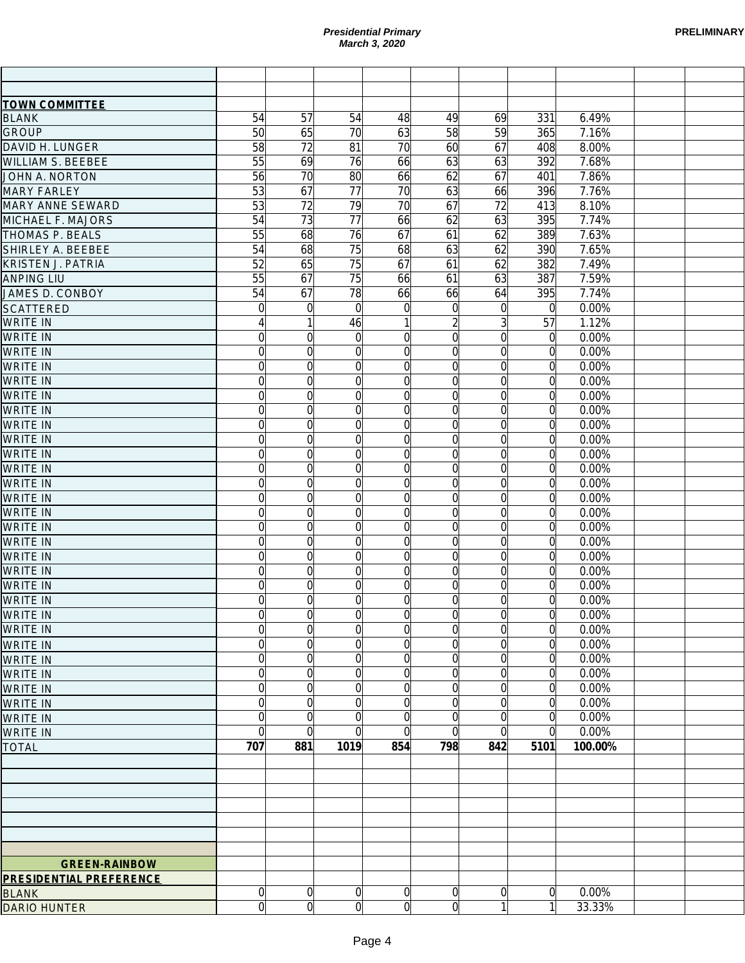|                                |                  |                            |                 | <b>Presidential Primary</b><br>March 3, 2020 |                |                      |                            |         | <b>PRELIMINARY</b> |
|--------------------------------|------------------|----------------------------|-----------------|----------------------------------------------|----------------|----------------------|----------------------------|---------|--------------------|
|                                |                  |                            |                 |                                              |                |                      |                            |         |                    |
| <b>TOWN COMMITTEE</b>          |                  |                            |                 |                                              |                |                      |                            |         |                    |
| <b>BLANK</b>                   | 54               | 57                         | 54              | 48                                           | 49             | 69                   | 331                        | 6.49%   |                    |
| <b>GROUP</b>                   | 50               | 65                         | $\overline{70}$ | 63                                           | 58             | 59                   | 365                        | 7.16%   |                    |
| DAVID H. LUNGER                | 58               | 72                         | $\overline{81}$ | 70                                           | 60             | 67                   | 408                        | 8.00%   |                    |
| <b>WILLIAM S. BEEBEE</b>       | 55               | 69                         | $\overline{76}$ | 66                                           | 63             | 63                   | 392                        | 7.68%   |                    |
| JOHN A. NORTON                 | 56               | 70                         | 80              | 66                                           | 62             | 67                   | 401                        | 7.86%   |                    |
| <b>MARY FARLEY</b>             | 53               | 67                         | $\overline{77}$ | 70                                           | 63             | 66                   | 396                        | 7.76%   |                    |
| <b>MARY ANNE SEWARD</b>        | 53               | 72                         | 79              | 70                                           | 67             | 72                   | 413                        | 8.10%   |                    |
| MICHAEL F. MAJORS              | 54               | 73                         | $\overline{77}$ | 66                                           | 62             | 63                   | 395                        | 7.74%   |                    |
| THOMAS P. BEALS                | 55               | 68                         | 76              | 67                                           | 61             | 62                   | 389                        | 7.63%   |                    |
| SHIRLEY A. BEEBEE              | 54               | 68                         | 75              | 68                                           | 63             | 62                   | 390                        | 7.65%   |                    |
| <b>KRISTEN J. PATRIA</b>       | 52               | 65                         | $\overline{75}$ | 67                                           | 61             | 62                   | 382                        | 7.49%   |                    |
| <b>ANPING LIU</b>              | 55               | 67                         | 75              | 66                                           | 61             | 63                   | 387                        | 7.59%   |                    |
| JAMES D. CONBOY                | 54               | 67                         | 78              | 66                                           | 66             | 64                   | 395                        | 7.74%   |                    |
| <b>SCATTERED</b>               | $\overline{0}$   | $\overline{0}$             | $\Omega$        | $\mathbf 0$                                  | $\Omega$       | $\overline{0}$       | $\Omega$                   | 0.00%   |                    |
| <b>WRITE IN</b>                | $\left 4\right $ | 1                          | 46              | 1                                            | $\overline{2}$ | $\overline{3}$       | 57                         | 1.12%   |                    |
| <b>WRITE IN</b>                | $\overline{0}$   | $\overline{0}$             | $\mathbf 0$     | $\overline{0}$                               | $\Omega$       | $\Omega$             | $\overline{0}$             | 0.00%   |                    |
| <b>WRITE IN</b>                | $\overline{0}$   | $\overline{0}$             | $\overline{0}$  | $\overline{0}$                               | $\Omega$       | $\Omega$             | $\overline{0}$             | 0.00%   |                    |
| <b>WRITE IN</b>                | $\overline{0}$   | $\overline{0}$             | $\overline{0}$  | $\overline{0}$                               | $\Omega$       | $\Omega$             | $\overline{0}$             | 0.00%   |                    |
| <b>WRITE IN</b>                | $\overline{0}$   | $\overline{0}$             | $\overline{0}$  | $\overline{0}$                               | $\Omega$       | $\Omega$             | $\overline{0}$             | 0.00%   |                    |
| <b>WRITE IN</b>                | $\overline{0}$   | $\overline{0}$             | $\overline{0}$  | $\overline{0}$                               | $\Omega$       | $\Omega$             | $\overline{0}$             | 0.00%   |                    |
| <b>WRITE IN</b>                | $\overline{0}$   | $\overline{0}$             | $\overline{0}$  | $\overline{0}$                               | $\Omega$       | $\Omega$             | $\overline{0}$             | 0.00%   |                    |
| <b>WRITE IN</b>                | $\overline{0}$   | $\overline{0}$             | $\overline{0}$  | $\overline{0}$                               | $\Omega$       | $\Omega$             | $\overline{0}$             | 0.00%   |                    |
| <b>WRITE IN</b>                | $\overline{0}$   | $\overline{0}$             | $\overline{0}$  | $\overline{0}$                               | $\Omega$       | $\Omega$             | $\overline{0}$             | 0.00%   |                    |
| <b>WRITE IN</b>                | $\overline{0}$   | $\overline{0}$             | $\overline{0}$  | $\overline{0}$                               | $\Omega$       | $\Omega$             | $\Omega$                   | 0.00%   |                    |
| <b>WRITE IN</b>                | $\overline{0}$   | $\overline{0}$             | $\overline{0}$  | $\Omega$                                     | $\Omega$       | $\Omega$             | $\overline{0}$             | 0.00%   |                    |
| <b>WRITE IN</b>                | $\overline{0}$   | $\overline{0}$             | $\overline{0}$  | $\Omega$                                     | $\Omega$       | $\Omega$             | $\overline{0}$             | 0.00%   |                    |
| <b>WRITE IN</b>                | $\overline{0}$   | $\overline{0}$             | $\overline{0}$  | $\Omega$                                     | $\Omega$       | $\Omega$             | $\overline{0}$             | 0.00%   |                    |
| <b>WRITE IN</b>                | $\overline{0}$   | $\overline{0}$             | $\overline{0}$  | $\overline{0}$                               | $\Omega$       | $\Omega$             | $\overline{0}$             | 0.00%   |                    |
| <b>WRITE IN</b>                | $\overline{0}$   | $\overline{0}$             | $\overline{0}$  | $\overline{0}$                               | $\Omega$       | $\Omega$             | $\overline{0}$             | 0.00%   |                    |
| <b>WRITE IN</b>                | $\overline{0}$   | $\overline{0}$             | $\overline{0}$  | $\Omega$                                     | $\Omega$       | $\Omega$             |                            | 0.00%   |                    |
| <b>WRITE IN</b>                | $\overline{0}$   |                            |                 |                                              |                |                      | $\overline{0}$             |         |                    |
| <b>WRITE IN</b>                | $\Omega$         | $\overline{0}$<br>$\Omega$ | 0<br>$\Omega$   | 0<br>$\Omega$                                | 0<br>Ωl        | $\Omega$<br>$\Omega$ | $\overline{0}$<br>$\Omega$ | 0.00%   |                    |
|                                |                  |                            |                 |                                              |                |                      |                            | 0.00%   |                    |
| <b>WRITE IN</b>                | $\overline{0}$   | $\overline{0}$             | $\overline{0}$  | $\overline{0}$                               | $\overline{0}$ | $\overline{0}$       | $\mathbf 0$                | 0.00%   |                    |
| <b>WRITE IN</b>                | $\overline{0}$   | $\overline{0}$             | $\overline{0}$  | $\Omega$                                     | 0              | $\Omega$             | $\overline{0}$             | 0.00%   |                    |
| <b>WRITE IN</b>                | $\overline{0}$   | $\overline{0}$             | $\overline{0}$  | $\overline{0}$                               | $\overline{0}$ | $\overline{0}$       | $\overline{0}$             | 0.00%   |                    |
| <b>WRITE IN</b>                | $\overline{0}$   | $\overline{0}$             | $\overline{0}$  | $\overline{0}$                               | $\Omega$       | $\overline{0}$       | $\overline{0}$             | 0.00%   |                    |
| <b>WRITE IN</b>                | $\overline{0}$   | $\overline{0}$             | $\overline{0}$  | $\overline{0}$                               | $\Omega$       | $\Omega$             | $\overline{0}$             | 0.00%   |                    |
| <b>WRITE IN</b>                | $\overline{0}$   | $\overline{0}$             | $\overline{0}$  | $\overline{0}$                               | $\Omega$       | $\overline{0}$       | $\overline{0}$             | 0.00%   |                    |
| <b>WRITE IN</b>                | $\overline{0}$   | $\overline{0}$             | $\overline{0}$  | $\overline{0}$                               | $\Omega$       | $\Omega$             | $\overline{0}$             | 0.00%   |                    |
| <b>WRITE IN</b>                | $\overline{0}$   | $\overline{0}$             | $\mathbf 0$     | $\overline{0}$                               | $\Omega$       | $\Omega$             | $\overline{0}$             | 0.00%   |                    |
| <b>WRITE IN</b>                | $\overline{0}$   | $\overline{0}$             | $\mathbf 0$     | $\overline{0}$                               | $\Omega$       | $\Omega$             | $\overline{0}$             | 0.00%   |                    |
| <b>WRITE IN</b>                | $\overline{0}$   | $\overline{0}$             | $\Omega$        | $\Omega$                                     | 0              | $\Omega$             | $\overline{0}$             | 0.00%   |                    |
| <b>WRITE IN</b>                | $\overline{0}$   | $\overline{0}$             | $\Omega$        | $\Omega$                                     | $\Omega$       | $\Omega$             | $\overline{0}$             | 0.00%   |                    |
| <b>TOTAL</b>                   | 707              | 881                        | 1019            | 854                                          | 798            | 842                  | 5101                       | 100.00% |                    |
|                                |                  |                            |                 |                                              |                |                      |                            |         |                    |
|                                |                  |                            |                 |                                              |                |                      |                            |         |                    |
|                                |                  |                            |                 |                                              |                |                      |                            |         |                    |
|                                |                  |                            |                 |                                              |                |                      |                            |         |                    |
|                                |                  |                            |                 |                                              |                |                      |                            |         |                    |
|                                |                  |                            |                 |                                              |                |                      |                            |         |                    |
|                                |                  |                            |                 |                                              |                |                      |                            |         |                    |
| <b>GREEN-RAINBOW</b>           |                  |                            |                 |                                              |                |                      |                            |         |                    |
| <b>PRESIDENTIAL PREFERENCE</b> |                  |                            |                 |                                              |                |                      |                            |         |                    |
| <b>BLANK</b>                   | $\overline{0}$   | $\overline{0}$             | $\overline{0}$  | $\overline{0}$                               | $\overline{0}$ | $\Omega$             | $\overline{0}$             | 0.00%   |                    |
| <b>DARIO HUNTER</b>            | $\overline{0}$   | $\overline{0}$             | $\overline{0}$  | $\overline{0}$                               | $\overline{0}$ | 1                    | $\mathbf{1}$               | 33.33%  |                    |
|                                |                  |                            |                 | Page 4                                       |                |                      |                            |         |                    |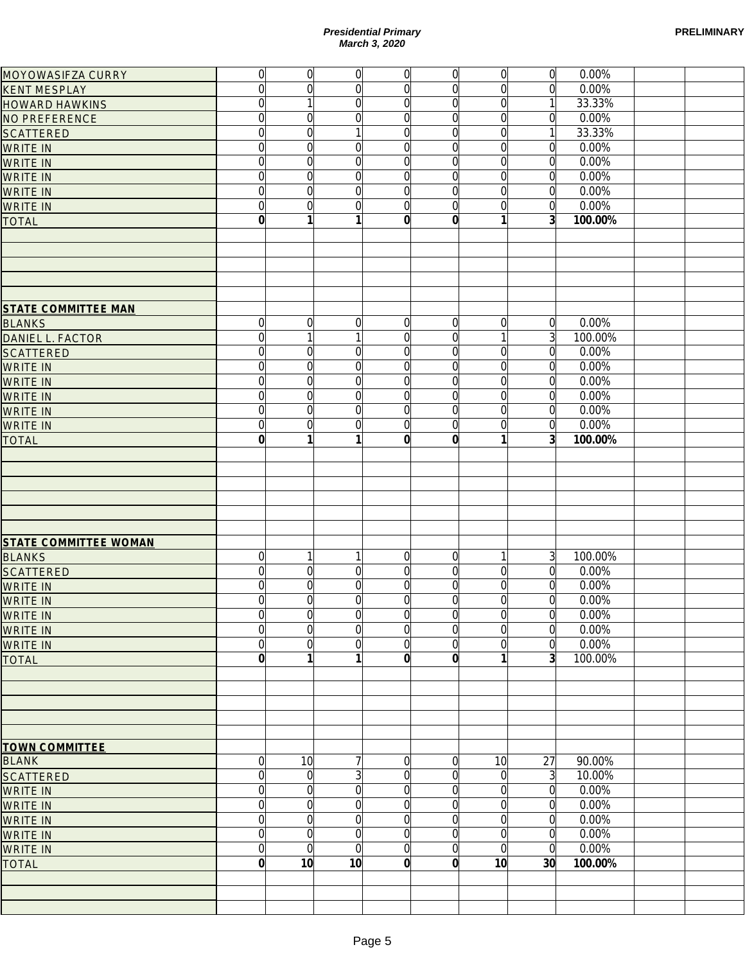|                                               |                  |                 | <b>Presidential Primary</b><br>March 3, 2020 |                 |                |                |                 |         | <b>PRELIMINAR</b> |
|-----------------------------------------------|------------------|-----------------|----------------------------------------------|-----------------|----------------|----------------|-----------------|---------|-------------------|
| MOYOWASIFZA CURRY                             | 0                | $\overline{0}$  | $\overline{0}$                               | 0               | 0              | $\overline{0}$ | $\overline{0}$  | 0.00%   |                   |
| <b>KENT MESPLAY</b>                           | $\overline{0}$   | $\overline{0}$  | $\overline{0}$                               | $\overline{0}$  | $\overline{0}$ | $\Omega$       | $\overline{0}$  | 0.00%   |                   |
| <b>HOWARD HAWKINS</b>                         | $\overline{0}$   | $\mathbf{1}$    | $\overline{0}$                               | 0               | $\overline{0}$ | $\Omega$       |                 | 33.33%  |                   |
| NO PREFERENCE                                 | $\overline{0}$   | $\mathbf 0$     | $\overline{0}$                               | 0               | $\overline{0}$ | $\Omega$       | $\Omega$        | 0.00%   |                   |
| <b>SCATTERED</b>                              | $\overline{0}$   | $\overline{0}$  | 1                                            | 0               | $\overline{0}$ | $\Omega$       | 1               | 33.33%  |                   |
| <b>WRITE IN</b>                               | $\overline{0}$   | $\overline{0}$  | $\overline{0}$                               | 0               | $\overline{0}$ | $\Omega$       | $\overline{0}$  | 0.00%   |                   |
| <b>WRITE IN</b>                               | $\overline{0}$   | $\overline{0}$  | $\overline{0}$                               | $\overline{0}$  | $\overline{0}$ | $\Omega$       | $\overline{0}$  | 0.00%   |                   |
| <b>WRITE IN</b>                               | $\overline{0}$   | $\overline{0}$  | $\overline{0}$                               | $\overline{0}$  | $\overline{0}$ | $\Omega$       | $\overline{0}$  | 0.00%   |                   |
| <b>WRITE IN</b>                               | $\overline{0}$   | $\overline{0}$  | $\overline{0}$                               | $\overline{0}$  | $\overline{0}$ | $\Omega$       | $\overline{0}$  | 0.00%   |                   |
| <b>WRITE IN</b>                               | $\overline{0}$   | $\overline{0}$  | $\overline{0}$                               | $\overline{0}$  | $\overline{0}$ | $\Omega$       | $\overline{0}$  | 0.00%   |                   |
| <b>TOTAL</b>                                  | $\mathbf{0}$     | 1               | 1                                            | $\mathbf{0}$    | $\mathbf{0}$   |                | 3 <sup>l</sup>  | 100.00% |                   |
| <b>STATE COMMITTEE MAN</b>                    |                  |                 |                                              |                 |                |                |                 |         |                   |
| <b>BLANKS</b>                                 | $\overline{0}$   | $\overline{0}$  | $\mathbf 0$                                  | $\vert 0 \vert$ | $\overline{0}$ | $\Omega$       | $\overline{0}$  | 0.00%   |                   |
| DANIEL L. FACTOR                              | $\overline{0}$   | $\overline{1}$  | $\mathbf{1}$                                 | $\overline{0}$  | $\overline{0}$ |                | $\overline{3}$  | 100.00% |                   |
| <b>SCATTERED</b>                              | $\overline{0}$   | $\overline{0}$  | $\overline{0}$                               | $\overline{0}$  | $\overline{0}$ | $\Omega$       | $\overline{0}$  | 0.00%   |                   |
| <b>WRITE IN</b>                               | $\overline{0}$   | $\overline{0}$  | $\overline{0}$                               | $\overline{0}$  | $\overline{0}$ | $\Omega$       | $\overline{0}$  | 0.00%   |                   |
| <b>WRITE IN</b>                               | $\overline{0}$   | $\overline{0}$  | $\overline{0}$                               | $\overline{0}$  | $\overline{0}$ | $\Omega$       | $\overline{0}$  | 0.00%   |                   |
| <b>WRITE IN</b>                               | $\overline{0}$   | $\overline{0}$  | $\overline{0}$                               | $\overline{0}$  | $\overline{0}$ | $\Omega$       | $\overline{0}$  | 0.00%   |                   |
| <b>WRITE IN</b>                               | $\overline{0}$   | $\overline{0}$  | $\overline{0}$                               | $\overline{0}$  | $\overline{0}$ | $\Omega$       | $\overline{0}$  | 0.00%   |                   |
| <b>WRITE IN</b>                               | $\overline{0}$   | $\overline{0}$  | $\overline{0}$                               | $\overline{0}$  | $\overline{0}$ | $\Omega$       | $\overline{0}$  | 0.00%   |                   |
| <b>TOTAL</b>                                  | $\mathbf{0}$     |                 | 1                                            | $\mathbf{0}$    | $\mathbf{0}$   |                | $\overline{3}$  | 100.00% |                   |
|                                               |                  |                 |                                              |                 |                |                |                 |         |                   |
| <b>STATE COMMITTEE WOMAN</b><br><b>BLANKS</b> | $\overline{0}$   | 1               | 1                                            | $\overline{0}$  | $\overline{0}$ |                | $\overline{3}$  | 100.00% |                   |
| <b>SCATTERED</b>                              | $\Omega$         | $\Omega$        | $\Omega$                                     | $\Omega$        | $\Omega$       | $\Omega$       | $\overline{0}$  | 0.00%   |                   |
| <b>WRITE IN</b>                               | $\overline{0}$   | $\overline{0}$  | $\overline{0}$                               | $\overline{0}$  | $\overline{0}$ | $\overline{0}$ | $\overline{0}$  | 0.00%   |                   |
| <b>WRITE IN</b>                               | $\overline{0}$   | $\overline{0}$  | $\overline{0}$                               | $\overline{0}$  | $\overline{0}$ | $\Omega$       | 0               | 0.00%   |                   |
| <b>WRITE IN</b>                               | $\overline{0}$   | $\overline{0}$  | $\overline{0}$                               | 0               | $\overline{0}$ | $\Omega$       | $\overline{0}$  | 0.00%   |                   |
| <b>WRITE IN</b>                               | $\overline{0}$   | $\overline{0}$  | $\overline{0}$                               | 0               | $\overline{0}$ | $\Omega$       | $\overline{0}$  | 0.00%   |                   |
| <b>WRITE IN</b>                               | $\overline{0}$   | $\overline{0}$  | $\overline{0}$                               | 0               | $\overline{0}$ | $\Omega$       | $\Omega$        | 0.00%   |                   |
| <b>TOTAL</b>                                  | $\mathbf{0}$     |                 | 1                                            | 0               | $\mathbf{0}$   |                | $\overline{3}$  | 100.00% |                   |
|                                               |                  |                 |                                              |                 |                |                |                 |         |                   |
|                                               |                  |                 |                                              |                 |                |                |                 |         |                   |
| <b>TOWN COMMITTEE</b>                         |                  |                 |                                              |                 |                |                |                 |         |                   |
| <b>BLANK</b>                                  | $\overline{0}$   | 10              | 7                                            | 0               | $\overline{0}$ | 10             | 27              | 90.00%  |                   |
| <b>SCATTERED</b>                              | $\overline{0}$   | $\overline{0}$  | 3                                            | 0               | $\overline{0}$ | $\Omega$       | $\overline{3}$  | 10.00%  |                   |
| <b>WRITE IN</b>                               | $\overline{0}$   | $\overline{0}$  | $\overline{0}$                               | 0               | $\overline{0}$ | $\Omega$       | $\Omega$        | 0.00%   |                   |
| <b>WRITE IN</b>                               | $\overline{0}$   | $\overline{0}$  | $\overline{0}$                               | 0               | $\overline{0}$ | $\Omega$       | $\Omega$        | 0.00%   |                   |
| <b>WRITE IN</b>                               | $\overline{0}$   | $\overline{0}$  | $\overline{0}$                               | 0               | $\overline{0}$ | $\Omega$       | $\Omega$        | 0.00%   |                   |
| <b>WRITE IN</b>                               | $\overline{0}$   | $\overline{0}$  | $\overline{0}$                               | 0               | $\overline{0}$ | $\Omega$       | $\Omega$        | 0.00%   |                   |
| <b>WRITE IN</b>                               | $\overline{0}$   | $\overline{0}$  | $\overline{0}$                               | 0               | $\overline{0}$ | $\Omega$       | $\Omega$        | 0.00%   |                   |
| <b>TOTAL</b>                                  | $\boldsymbol{0}$ | 10 <sup>1</sup> | 10                                           | 0               | $\mathbf{0}$   | 10             | 30 <sup>l</sup> | 100.00% |                   |
|                                               |                  |                 |                                              |                 |                |                |                 |         |                   |
|                                               |                  |                 | Page 5                                       |                 |                |                |                 |         |                   |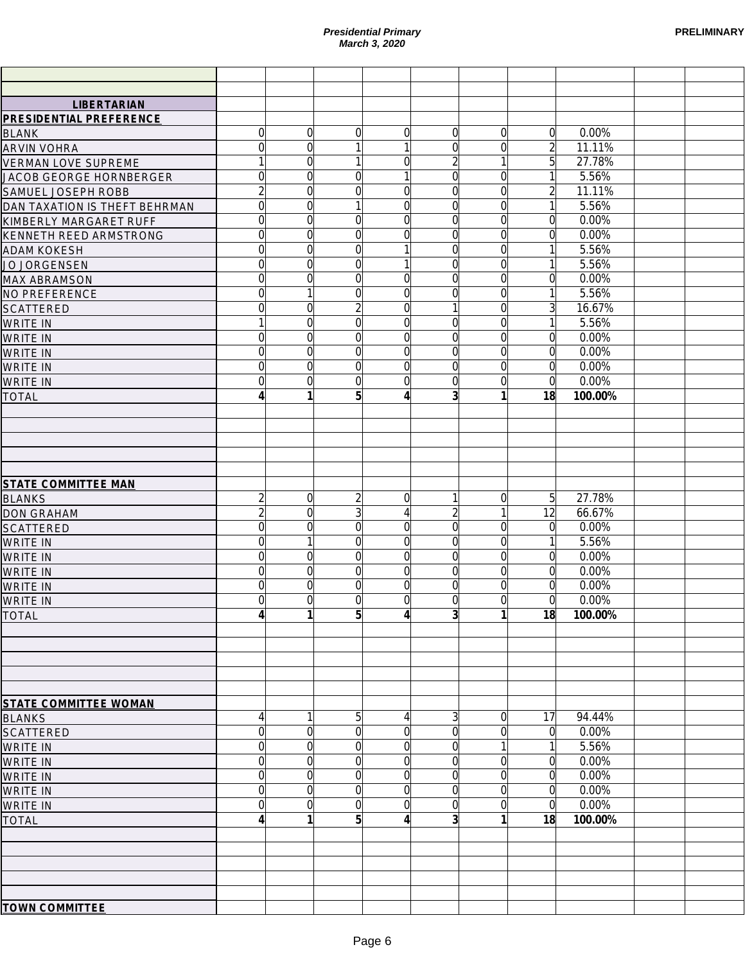|                                                      |                     |                | March 3, 2020       | <b>Presidential Primary</b> |                |                |                      |                  | <b>PRELIMINARY</b> |
|------------------------------------------------------|---------------------|----------------|---------------------|-----------------------------|----------------|----------------|----------------------|------------------|--------------------|
|                                                      |                     |                |                     |                             |                |                |                      |                  |                    |
|                                                      |                     |                |                     |                             |                |                |                      |                  |                    |
| <b>LIBERTARIAN</b><br><b>PRESIDENTIAL PREFERENCE</b> |                     |                |                     |                             |                |                |                      |                  |                    |
| <b>BLANK</b>                                         | $\overline{0}$      | $\Omega$       | $\Omega$            | $\Omega$                    | $\Omega$       | $\Omega$       | $\Omega$             | 0.00%            |                    |
| <b>ARVIN VOHRA</b>                                   | $\overline{0}$      | $\Omega$       |                     | 1                           | $\Omega$       | $\Omega$       | $\overline{2}$       | 11.11%           |                    |
| <b>VERMAN LOVE SUPREME</b>                           | $\mathbf{1}$        | $\Omega$       |                     | $\Omega$                    | 2              | $\mathbf{1}$   | 5                    | 27.78%           |                    |
| JACOB GEORGE HORNBERGER                              | $\overline{0}$      | $\Omega$       | $\Omega$            | 1                           | $\Omega$       | $\overline{0}$ | 1                    | 5.56%            |                    |
| SAMUEL JOSEPH ROBB                                   | $\overline{2}$      | $\Omega$       | $\overline{0}$      | $\overline{0}$              | $\Omega$       | $\overline{0}$ | $\overline{2}$       | 11.11%           |                    |
| DAN TAXATION IS THEFT BEHRMAN                        | $\overline{0}$      | $\overline{0}$ |                     | $\overline{0}$              | $\Omega$       | $\overline{0}$ | $\mathbf{1}$         | 5.56%            |                    |
| KIMBERLY MARGARET RUFF                               | $\overline{0}$      | $\overline{0}$ | $\overline{0}$      | $\overline{0}$              | $\Omega$       | $\overline{0}$ | $\Omega$             | 0.00%            |                    |
| <b>KENNETH REED ARMSTRONG</b>                        | $\overline{0}$      | $\overline{0}$ | $\overline{0}$      | $\overline{0}$              | $\Omega$       | $\overline{0}$ | $\mathbf 0$          | 0.00%            |                    |
| <b>ADAM KOKESH</b>                                   | $\overline{0}$      | $\overline{0}$ | $\Omega$            |                             | $\Omega$       | $\overline{0}$ |                      | 5.56%            |                    |
| JO JORGENSEN                                         | $\overline{0}$      | $\Omega$       | $\Omega$            |                             | $\Omega$       | $\overline{0}$ |                      | 5.56%            |                    |
| <b>MAX ABRAMSON</b>                                  | $\overline{0}$      | $\Omega$       | $\overline{0}$      | $\overline{0}$              | $\Omega$       | $\overline{0}$ | $\Omega$             | 0.00%            |                    |
| NO PREFERENCE                                        | $\overline{0}$      |                | $\Omega$            | $\Omega$                    | 0              | $\overline{0}$ |                      | 5.56%            |                    |
| <b>SCATTERED</b>                                     | $\overline{0}$      | 0              | $\overline{2}$      | $\overline{0}$              |                | $\overline{0}$ | 3                    | 16.67%           |                    |
| <b>WRITE IN</b>                                      | $\mathbf{1}$        | $\overline{0}$ | $\overline{0}$      | $\overline{0}$              | $\Omega$       | $\overline{0}$ | 1                    | 5.56%            |                    |
| <b>WRITE IN</b>                                      | $\overline{0}$      | $\overline{0}$ | $\overline{0}$      | $\Omega$                    | $\Omega$       | $\overline{0}$ | $\Omega$             | 0.00%            |                    |
| <b>WRITE IN</b>                                      | $\overline{0}$      | $\overline{0}$ | $\overline{0}$      | $\Omega$                    | $\Omega$       | $\overline{0}$ | $\Omega$             | 0.00%            |                    |
| <b>WRITE IN</b>                                      | $\overline{0}$      | $\overline{0}$ | $\overline{0}$      | $\overline{0}$              | $\Omega$       | $\overline{0}$ | $\overline{0}$       | 0.00%            |                    |
| <b>WRITE IN</b>                                      | $\overline{0}$<br>4 | $\overline{0}$ | $\overline{0}$<br>5 | $\Omega$<br>$\vert$         | 0<br>3         | $\overline{0}$ | $\overline{0}$<br>18 | 0.00%<br>100.00% |                    |
| <b>TOTAL</b>                                         |                     |                |                     |                             |                |                |                      |                  |                    |
|                                                      |                     |                |                     |                             |                |                |                      |                  |                    |
|                                                      |                     |                |                     |                             |                |                |                      |                  |                    |
|                                                      |                     |                |                     |                             |                |                |                      |                  |                    |
|                                                      |                     |                |                     |                             |                |                |                      |                  |                    |
| <b>STATE COMMITTEE MAN</b>                           |                     |                |                     |                             |                |                |                      |                  |                    |
| <b>BLANKS</b>                                        | $\overline{2}$      | $\overline{0}$ | $\overline{2}$      | $\overline{0}$              |                | $\overline{0}$ | 5                    | 27.78%           |                    |
| <b>DON GRAHAM</b>                                    | $\overline{2}$      | $\overline{0}$ | 3                   | $\left 4\right $            |                | $\mathbf{1}$   | 12                   | 66.67%           |                    |
| <b>SCATTERED</b>                                     | $\overline{0}$      | $\overline{0}$ | $\overline{0}$      | $\overline{0}$              | $\Omega$       | $\overline{0}$ | $\Omega$             | 0.00%            |                    |
| <b>WRITE IN</b>                                      | $\overline{0}$      |                | $\Omega$            | $\Omega$                    | 0              | $\overline{0}$ | 1                    | 5.56%            |                    |
| <b>WRITE IN</b>                                      | $\overline{0}$      | $\Omega$       | $\Omega$            | $\Omega$                    | 0              | $\Omega$       | $\Omega$             | 0.00%            |                    |
| <b>WRITE IN</b>                                      | $\Omega$            | $\Omega$       | $\Omega$            | Ωl                          | $\Omega$       | $\Omega$       | $\Omega$             | 0.00%            |                    |
| <b>WRITE IN</b>                                      | $\overline{0}$      | $\overline{0}$ | $\overline{0}$      | $\overline{0}$              | $\overline{0}$ | $\overline{0}$ | $\overline{0}$       | 0.00%            |                    |
| WRITE IN                                             | $\overline{0}$      | $\Omega$       | $\Omega$            | $\Omega$                    | 0              | $\Omega$       | $\Omega$             | 0.00%            |                    |
| <b>TOTAL</b>                                         | 4                   |                | 5                   | $\vert$                     | 3              | 1              | 18                   | 100.00%          |                    |
|                                                      |                     |                |                     |                             |                |                |                      |                  |                    |
|                                                      |                     |                |                     |                             |                |                |                      |                  |                    |
|                                                      |                     |                |                     |                             |                |                |                      |                  |                    |
|                                                      |                     |                |                     |                             |                |                |                      |                  |                    |
|                                                      |                     |                |                     |                             |                |                |                      |                  |                    |
| <b>STATE COMMITTEE WOMAN</b>                         | $\left 4\right $    |                | 5                   | $\vert$                     | 3              | $\overline{0}$ | 17                   | 94.44%           |                    |
| <b>BLANKS</b><br><b>SCATTERED</b>                    | $\overline{0}$      | $\mathbf 0$    | $\Omega$            | $\overline{0}$              | 0              | $\Omega$       | $\Omega$             | 0.00%            |                    |
| <b>WRITE IN</b>                                      | $\overline{0}$      | $\Omega$       | $\Omega$            | $\overline{0}$              | 0              | 1              |                      | 5.56%            |                    |
| <b>WRITE IN</b>                                      | $\overline{0}$      | $\Omega$       | $\Omega$            | $\Omega$                    | 0              | $\overline{0}$ | $\Omega$             | 0.00%            |                    |
| <b>WRITE IN</b>                                      | $\overline{0}$      | $\Omega$       | $\Omega$            | $\Omega$                    | 0              | $\Omega$       | $\Omega$             | 0.00%            |                    |
| <b>WRITE IN</b>                                      | $\overline{0}$      | $\Omega$       | $\Omega$            | $\Omega$                    | 0              | $\overline{0}$ | $\overline{0}$       | 0.00%            |                    |
| <b>WRITE IN</b>                                      | $\overline{0}$      | $\Omega$       | $\Omega$            | $\Omega$                    | 0              | $\overline{0}$ | $\Omega$             | 0.00%            |                    |
| <b>TOTAL</b>                                         | 4                   |                | 5                   | $\vert$                     | 3              | 1              | 18                   | 100.00%          |                    |
|                                                      |                     |                |                     |                             |                |                |                      |                  |                    |
|                                                      |                     |                |                     |                             |                |                |                      |                  |                    |
|                                                      |                     |                |                     |                             |                |                |                      |                  |                    |
|                                                      |                     |                |                     |                             |                |                |                      |                  |                    |
|                                                      |                     |                |                     |                             |                |                |                      |                  |                    |
| <b>TOWN COMMITTEE</b>                                |                     |                |                     |                             |                |                |                      |                  |                    |
|                                                      |                     |                |                     |                             |                |                |                      |                  |                    |
|                                                      |                     |                | Page 6              |                             |                |                |                      |                  |                    |